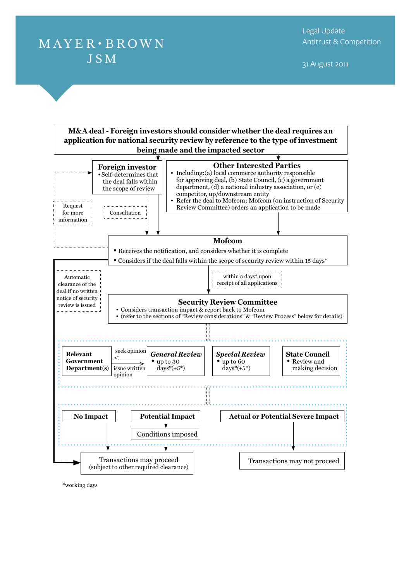## $MAYER \cdot BROWN$ **JSM**

31 August 2011



\*working days